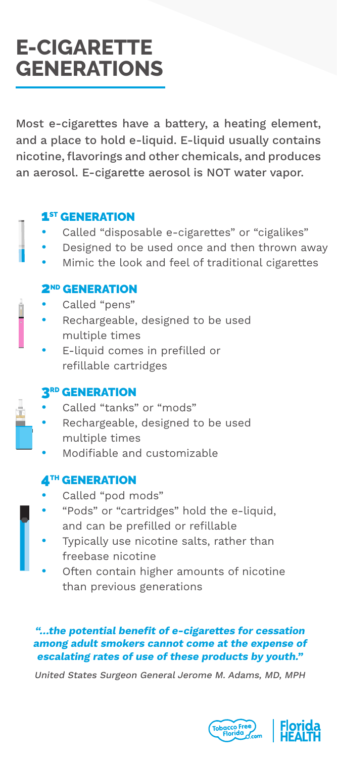# **E-CIGARETTE GENERATIONS**

Most e-cigarettes have a battery, a heating element, and a place to hold e-liquid. E-liquid usually contains nicotine, flavorings and other chemicals, and produces an aerosol. E-cigarette aerosol is NOT water vapor.

### **1ST GENERATION**

- Called "disposable e-cigarettes" or "cigalikes"
- Designed to be used once and then thrown away
- Mimic the look and feel of traditional cigarettes

### **2<sup>ND</sup> GENERATION**

• Called "pens"

 $\frac{1}{\cdot}$ 

- Rechargeable, designed to be used multiple times
- E-liquid comes in prefilled or refillable cartridges

## **3RD GENERATION**

- Called "tanks" or "mods"
- Rechargeable, designed to be used multiple times
- Modifiable and customizable

## **4TH GENERATION**

- Called "pod mods"
- "Pods" or "cartridges" hold the e-liquid, and can be prefilled or refillable
- Typically use nicotine salts, rather than freebase nicotine
- Often contain higher amounts of nicotine than previous generations

#### **"…the potential benefit of e-cigarettes for cessation among adult smokers cannot come at the expense of escalating rates of use of these products by youth."**

United States Surgeon General Jerome M. Adams, MD, MPH